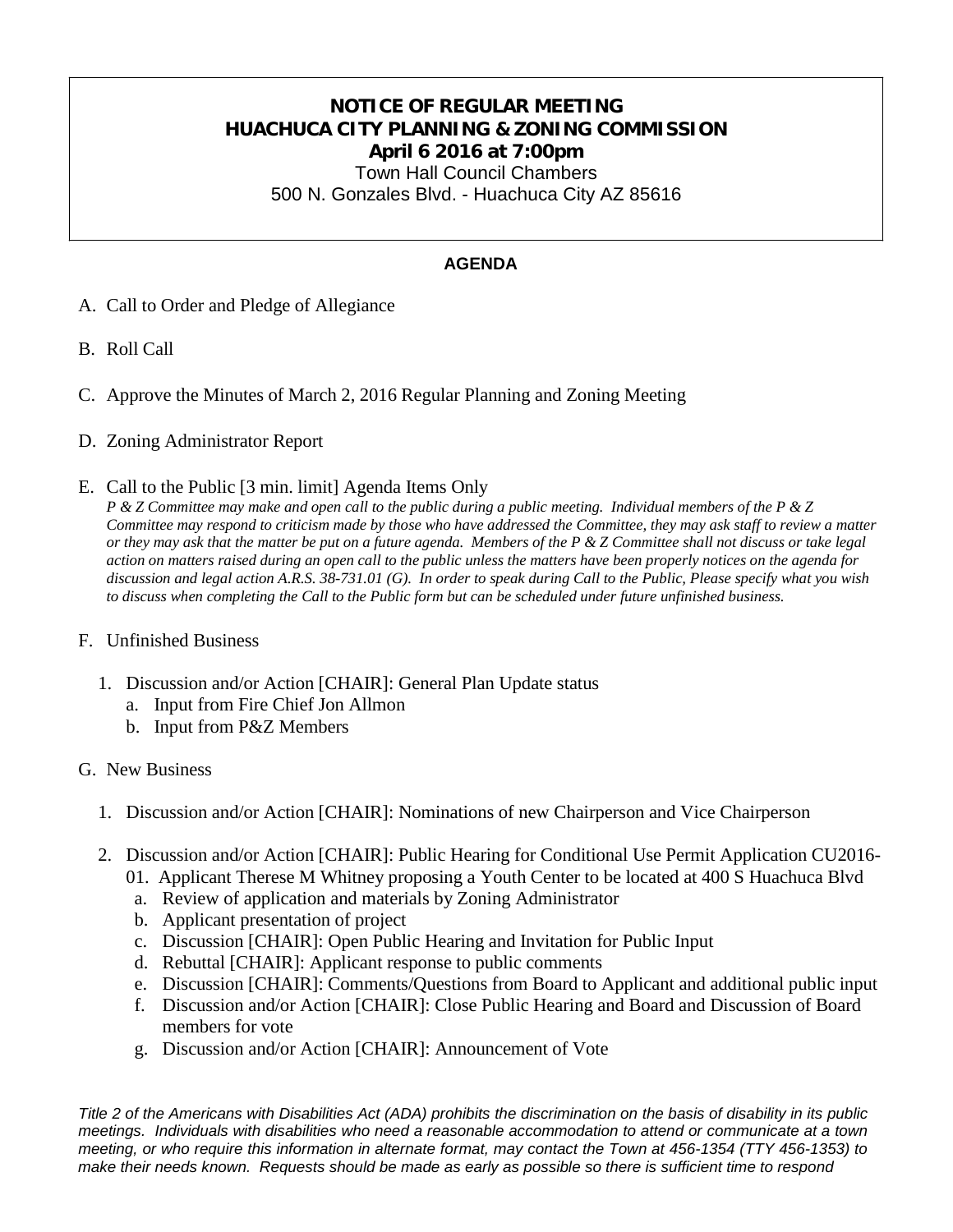## **NOTICE OF REGULAR MEETING HUACHUCA CITY PLANNING & ZONING COMMISSION April 6 2016 at 7:00pm**

Town Hall Council Chambers 500 N. Gonzales Blvd. - Huachuca City AZ 85616

## **AGENDA**

- A. Call to Order and Pledge of Allegiance
- B. Roll Call
- C. Approve the Minutes of March 2, 2016 Regular Planning and Zoning Meeting
- D. Zoning Administrator Report
- E. Call to the Public [3 min. limit] Agenda Items Only

*P & Z Committee may make and open call to the public during a public meeting. Individual members of the P & Z Committee may respond to criticism made by those who have addressed the Committee, they may ask staff to review a matter or they may ask that the matter be put on a future agenda. Members of the P & Z Committee shall not discuss or take legal action on matters raised during an open call to the public unless the matters have been properly notices on the agenda for discussion and legal action A.R.S. 38-731.01 (G). In order to speak during Call to the Public, Please specify what you wish to discuss when completing the Call to the Public form but can be scheduled under future unfinished business.*

## F. Unfinished Business

- 1. Discussion and/or Action [CHAIR]: General Plan Update status
	- a. Input from Fire Chief Jon Allmon
	- b. Input from P&Z Members

## G. New Business

- 1. Discussion and/or Action [CHAIR]: Nominations of new Chairperson and Vice Chairperson
- 2. Discussion and/or Action [CHAIR]: Public Hearing for Conditional Use Permit Application CU2016-
	- 01. Applicant Therese M Whitney proposing a Youth Center to be located at 400 S Huachuca Blvd
	- a. Review of application and materials by Zoning Administrator
	- b. Applicant presentation of project
	- c. Discussion [CHAIR]: Open Public Hearing and Invitation for Public Input
	- d. Rebuttal [CHAIR]: Applicant response to public comments
	- e. Discussion [CHAIR]: Comments/Questions from Board to Applicant and additional public input
	- f. Discussion and/or Action [CHAIR]: Close Public Hearing and Board and Discussion of Board members for vote
	- g. Discussion and/or Action [CHAIR]: Announcement of Vote

*Title 2 of the Americans with Disabilities Act (ADA) prohibits the discrimination on the basis of disability in its public meetings. Individuals with disabilities who need a reasonable accommodation to attend or communicate at a town meeting, or who require this information in alternate format, may contact the Town at 456-1354 (TTY 456-1353) to make their needs known. Requests should be made as early as possible so there is sufficient time to respond*